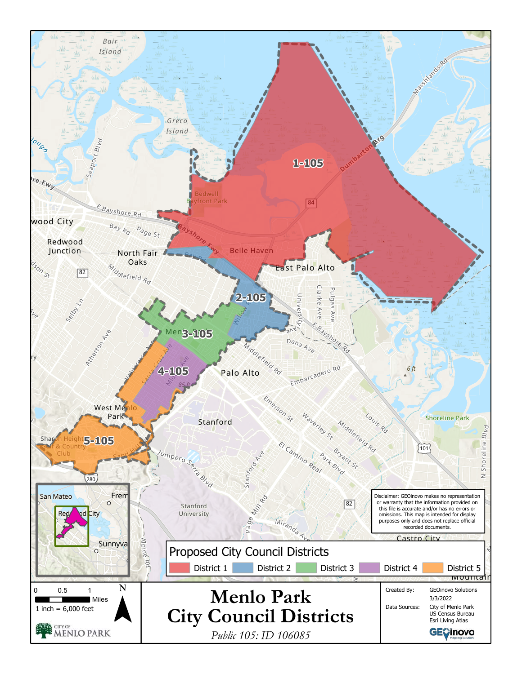